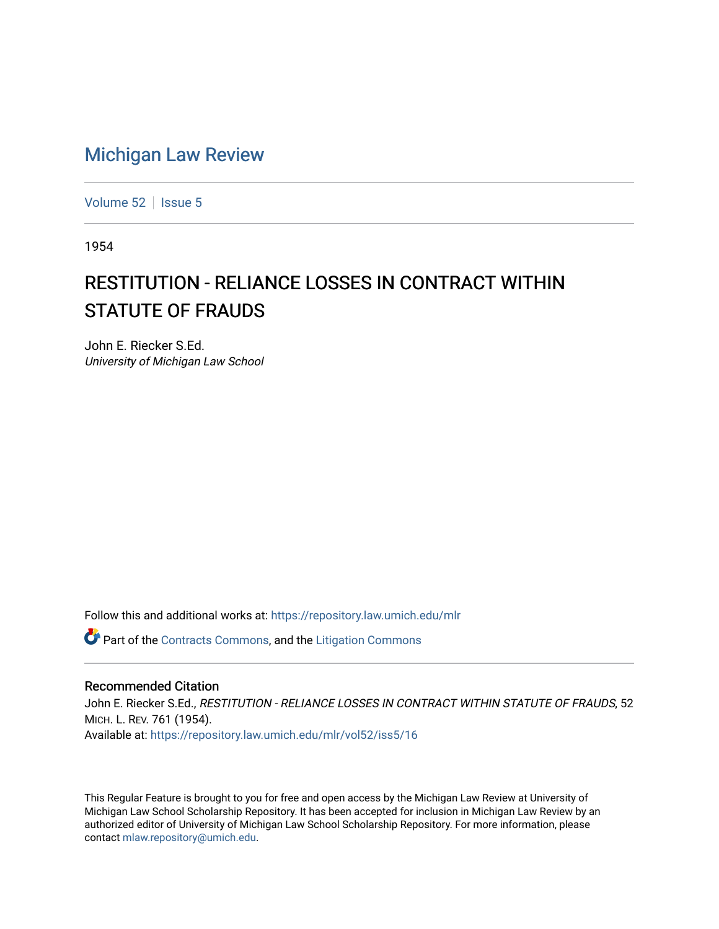## [Michigan Law Review](https://repository.law.umich.edu/mlr)

[Volume 52](https://repository.law.umich.edu/mlr/vol52) | [Issue 5](https://repository.law.umich.edu/mlr/vol52/iss5)

1954

## RESTITUTION - RELIANCE LOSSES IN CONTRACT WITHIN STATUTE OF FRAUDS

John E. Riecker S.Ed. University of Michigan Law School

Follow this and additional works at: [https://repository.law.umich.edu/mlr](https://repository.law.umich.edu/mlr?utm_source=repository.law.umich.edu%2Fmlr%2Fvol52%2Fiss5%2F16&utm_medium=PDF&utm_campaign=PDFCoverPages) 

**C** Part of the [Contracts Commons](http://network.bepress.com/hgg/discipline/591?utm_source=repository.law.umich.edu%2Fmlr%2Fvol52%2Fiss5%2F16&utm_medium=PDF&utm_campaign=PDFCoverPages), and the [Litigation Commons](http://network.bepress.com/hgg/discipline/910?utm_source=repository.law.umich.edu%2Fmlr%2Fvol52%2Fiss5%2F16&utm_medium=PDF&utm_campaign=PDFCoverPages)

## Recommended Citation

John E. Riecker S.Ed., RESTITUTION - RELIANCE LOSSES IN CONTRACT WITHIN STATUTE OF FRAUDS, 52 MICH. L. REV. 761 (1954). Available at: [https://repository.law.umich.edu/mlr/vol52/iss5/16](https://repository.law.umich.edu/mlr/vol52/iss5/16?utm_source=repository.law.umich.edu%2Fmlr%2Fvol52%2Fiss5%2F16&utm_medium=PDF&utm_campaign=PDFCoverPages) 

This Regular Feature is brought to you for free and open access by the Michigan Law Review at University of Michigan Law School Scholarship Repository. It has been accepted for inclusion in Michigan Law Review by an authorized editor of University of Michigan Law School Scholarship Repository. For more information, please contact [mlaw.repository@umich.edu](mailto:mlaw.repository@umich.edu).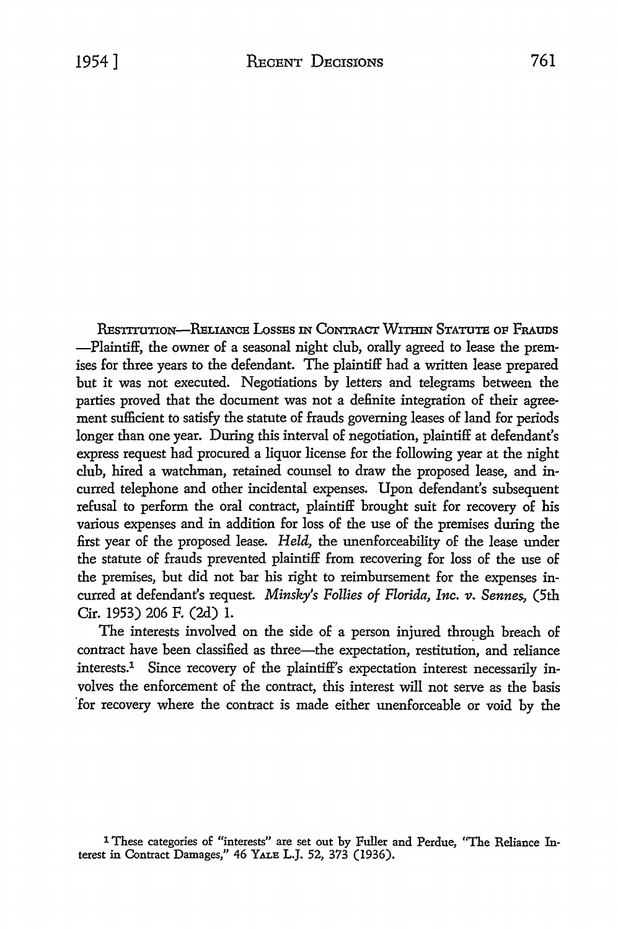RESTITUTION-RELIANCE LOSSES IN CONTRACT WITHIN STATUTE OF FRAUDS -Plaintiff, the owner of a seasonal night club, orally agreed to lease the premises for three years to the defendant. The plaintiff had a written lease prepared but it was not executed. Negotiations by letters and telegrams between the parties proved that the document was not a definite integration of their agreement sufficient to satisfy the statute of frauds governing leases of land for periods longer than one year. During this interval of negotiation, plaintiff at defendant's express request had procured a liquor license for the following year at the night club, hired a watchman, retained counsel to draw the proposed lease, and incurred telephone and other incidental expenses. Upon defendant's subsequent refusal to perform the oral contract, plaintiff brought suit for recovery of his various expenses and in addition for loss of the use of the premises during the first year of the proposed lease. *Held,* the unenforceability of the lease under the statute of frauds prevented plaintiff from recovering for loss of the use of the premises, but did not bar his right to reimbursement for the expenses incurred at defendant's request *Minsky's Follies of Florida, Inc. v. Sennes,* (5th Cir. 1953) 206 F. (2d) I.

The interests involved on the side of a person injured through breach of contract have been classified as three-the expectation, restitution, and reliance interests.1 Since recovery of the plaintiff's expectation interest necessarily involves the enforcement of the contract, this interest will not serve as the basis "for recovery where the contract is made either unenforceable or void by the

<sup>1</sup> These categories of "interests" are set out by Fuller and Perdue, "The Reliance Interest in Contract Damages," 46 YALE L.J. 52, 373 (1936).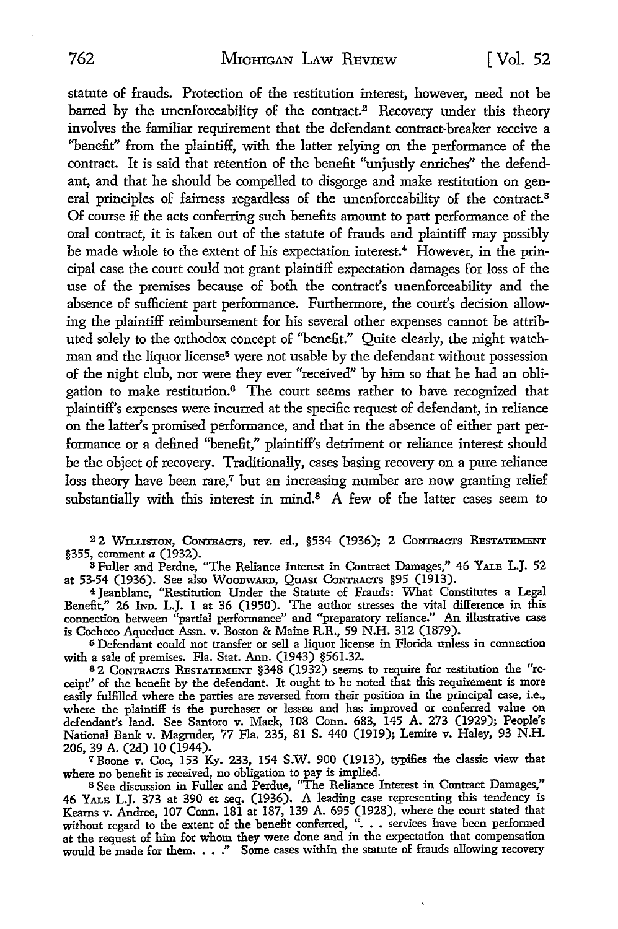statute of frauds. Protection of the restitution interest, however, need not be barred by the unenforceability of the contract.<sup>2</sup> Recovery under this theory involves the familiar requirement that the defendant contract-breaker receive a "benefit" from the plaintiff, with the latter relying on the performance of the contract. It is said that retention of the benefit "unjustly enriches" the defendant, and that he should be compelled to disgorge and make restitution on general principles of fairness regardless of the unenforceability of the contract.<sup>8</sup> Of course if the acts conferring such benefits amount to part performance of the oral contract, it is taken out of the statute of frauds and plaintiff may possibly be made whole to the extent of his expectation interest.<sup>4</sup> However, in the principal case the court could not grant plaintiff expectation damages for loss of the use of the premises because of both the contract's unenforceability and the absence of sufficient part performance. Furthermore, the court's decision allowing the plaintiff reimbursement for his several other expenses cannot be attributed solely to the orthodox concept of ''benefit." Quite clearly, the night watchman and the liquor license<sup>5</sup> were not usable by the defendant without possession of the night club, nor were they ever "received" by him so that he had an obligation to make restitution.6 The court seems rather to have recognized that plaintiff's expenses were incurred at the specific request of defendant, in reliance on the latter's promised performance, and that in the absence of either part performance or a defined ''benefit," plaintiff's detriment or reliance interest should be the object of recovery. Traditionally, cases basing recovery on a pure reliance loss theory have been rare,<sup>7</sup> but an increasing number are now granting relief substantially with this interest in mind.<sup>8</sup> A few of the latter cases seem to

<sup>2</sup>2 Wn.usToN, CoNTRAcrs, rev. ed., §534 (1936); 2 CoNTRAcrs REsTATBMENT §355, comment *a* (1932).

s Fuller and Perdue, "The Reliance Interest in Contract Damages," 46 YALB L.J. 52 at 53-54 (1936). See also Woodward, Quasr Contracts §95 (1913).

<sup>4</sup>Jeanblanc, ''Restitution Under the Statute of Frauds: What Constitutes a Legal Benefit," 26 IND. L.J. 1 at 36 (1950). The author stresses the vital difference in this connection between "partial performance" and "preparatory reliance." An illustrative case is Cocheco Aqueduct Assn. v. Boston & Maine R.R., 59 N.H. 312 (1879).

<sup>5</sup>Defendant could not transfer or sell a liquor license in Florida unless in connection with a sale of premises. Fla. Stat. Ann. (1943) §561.32.

6 2 CoNTRAcrs RBsTATBMBNT §348 (1932) seems to require for restitution the "receipt" of the benefit by the defendant. It ought to be noted that this requirement is more easily fulfilled where the parties are reversed from their position in the principal case, i.e., where the plaintiff is the purchaser or lessee and has improved or conferred value on defendant's land. See Santoro v. Mack, 108 Conn. 683, 145 A. 273 (1929); People's National Bank v. Magruder, 77 Fla. 235, 81 S. 440 (1919); Lemire v. Haley, 93 N.H. 206, 39 A. (2d) 10 (1944).

7 Boone v. Coe, 153 Ky. 233, 154 S.W. 900 (1913), typifies the classic view that where no benefit is received, no obligation to pay is implied. <sup>8</sup>See discussion in Fuller and Perdue, "The Reliance Interest in Contract Damages,"

46 YALB L.J. 373 at 390 et seq. (1936). A leading case representing this tendency is Kearns v. Andree, 107 Conn. 181 at 187, 139 A. 695 (1928), where the court stated that without regard to the extent of the benefit conferred, ". . . services have been performed at the request of him for whom they were don would be made for them.  $\ldots$ ." Some cases within the statute of frauds allowing recovery